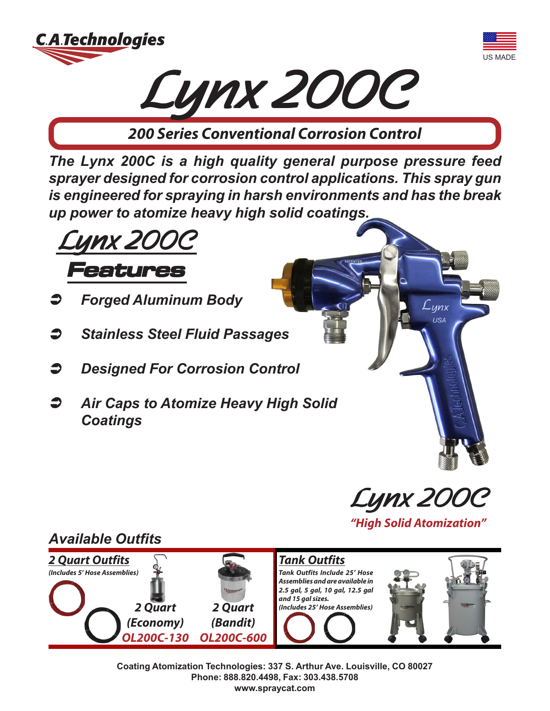





**200 Series Conventional Corrosion Control**

*The Lynx 200C is a high quality general purpose pressure feed sprayer designed for corrosion control applications. This spray gun is engineered for spraying in harsh environments and has the break up power to atomize heavy high solid coatings.*



- Â *Forged Aluminum Body*
- Â *Stainless Steel Fluid Passages*
- Â *Designed For Corrosion Control*
- Â *Air Caps to Atomize Heavy High Solid Coatings*



 $L_{\textit{unx}}$ 

## *Available Outfits*



**Tank Outfits Tank Outfits Include 25' Hose Assemblies and are available in 2.5 gal, 5 gal, 10 gal, 12.5 gal and 15 gal sizes. (Includes 25' Hose Assemblies)**



**Coating Atomization Technologies: 337 S. Arthur Ave. Louisville, CO 80027 Phone: 888.820.4498, Fax: 303.438.5708 www.spraycat.com**